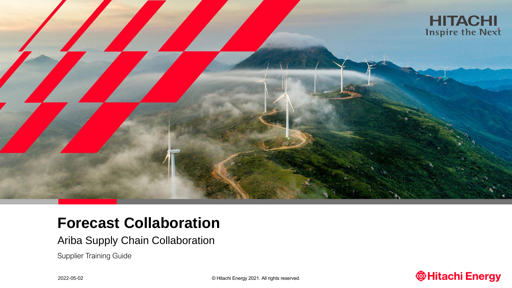

# **Forecast Collaboration**

Ariba Supply Chain Collaboration

Supplier Training Guide

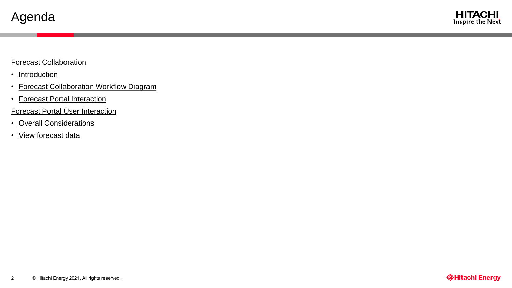#### Forecast Collaboration

- [Introduction](#page-2-0)
- [Forecast Collaboration Workflow Diagram](#page-3-0)
- [Forecast Portal Interaction](#page-6-0)

#### [Forecast Portal User Interaction](#page-4-0)

- [Overall Considerations](#page-5-0)
- View forecast data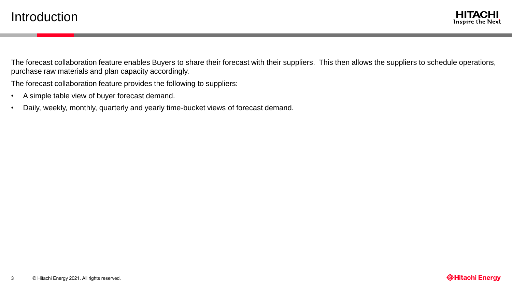<span id="page-2-0"></span>The forecast collaboration feature enables Buyers to share their forecast with their suppliers. This then allows the suppliers to schedule operations, purchase raw materials and plan capacity accordingly.

The forecast collaboration feature provides the following to suppliers:

- A simple table view of buyer forecast demand.
- Daily, weekly, monthly, quarterly and yearly time-bucket views of forecast demand.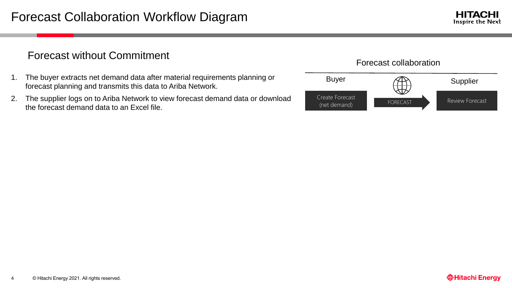## <span id="page-3-0"></span>Forecast without Commitment

- 1. The buyer extracts net demand data after material requirements planning or forecast planning and transmits this data to Ariba Network.
- 2. The supplier logs on to Ariba Network to view forecast demand data or download the forecast demand data to an Excel file.

# Buyer AR Supplier Create Forecast<br>
FORECAST Review Forecast (net demand) Forecast collaboration

4

**HITACHI** Inspire the Next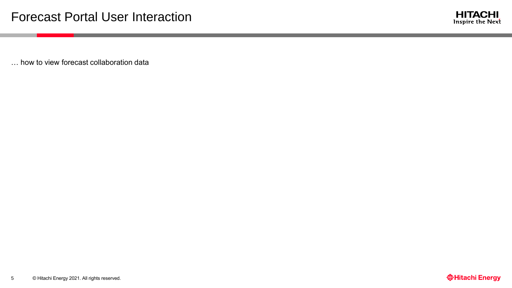

<span id="page-4-0"></span>… how to view forecast collaboration data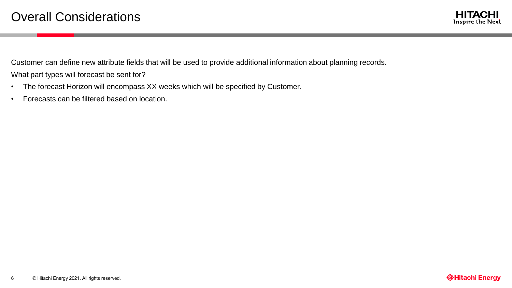

<span id="page-5-0"></span>Customer can define new attribute fields that will be used to provide additional information about planning records. What part types will forecast be sent for?

- The forecast Horizon will encompass XX weeks which will be specified by Customer.
- Forecasts can be filtered based on location.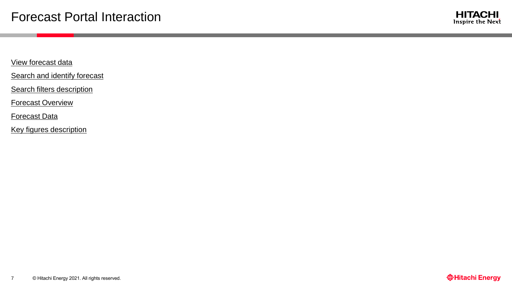

<span id="page-6-0"></span>[View forecast data](#page-7-0)

[Search and identify forecast](#page-7-0)

[Search filters description](#page-8-0)

[Forecast Overview](#page-9-0)

[Forecast Data](#page-10-0)

[Key figures description](#page-11-0)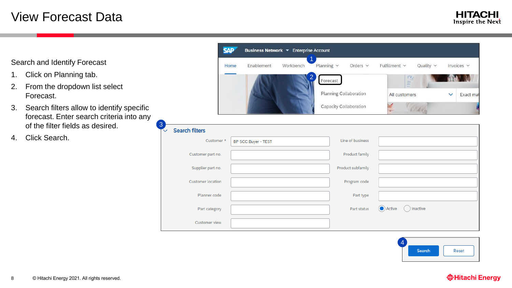# <span id="page-7-0"></span>View Forecast Data

Search and Identify Forecast

- 1. Click on Planning tab.
- 2. From the dropdown list select Forecast.
- 3. Search filters allow to identify specific forecast. Enter search criteria into any of the filter fields as desired.
- 4. Click Search.



| 3            |                          |                     |                   |                    |
|--------------|--------------------------|---------------------|-------------------|--------------------|
| $\checkmark$ | <b>Search filters</b>    |                     |                   |                    |
|              | Customer *               | BP SCC Buyer - TEST | Line of business  |                    |
|              | Customer part no.        |                     | Product family    |                    |
|              | Supplier part no.        |                     | Product subfamily |                    |
|              | <b>Customer location</b> |                     | Program code      |                    |
|              | Planner code             |                     | Part type         |                    |
|              | Part category            |                     | Part status       | Active<br>Inactive |
|              | Customer view            |                     |                   |                    |



#### **@Hitachi Energy**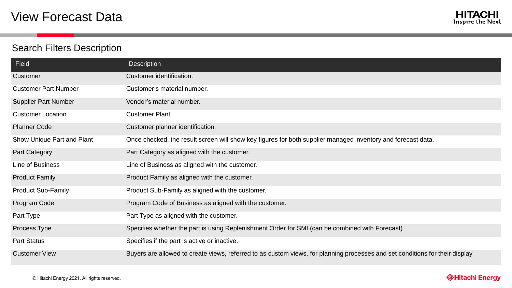# <span id="page-8-0"></span>Search Filters Description

| Field                       | <b>Description</b>                                                                                                           |
|-----------------------------|------------------------------------------------------------------------------------------------------------------------------|
| Customer                    | Customer identification.                                                                                                     |
| <b>Customer Part Number</b> | Customer's material number.                                                                                                  |
| <b>Supplier Part Number</b> | Vendor's material number.                                                                                                    |
| <b>Customer Location</b>    | <b>Customer Plant.</b>                                                                                                       |
| <b>Planner Code</b>         | Customer planner identification.                                                                                             |
| Show Unique Part and Plant  | Once checked, the result screen will show key figures for both supplier managed inventory and forecast data.                 |
| Part Category               | Part Category as aligned with the customer.                                                                                  |
| Line of Business            | Line of Business as aligned with the customer.                                                                               |
| <b>Product Family</b>       | Product Family as aligned with the customer.                                                                                 |
| <b>Product Sub-Family</b>   | Product Sub-Family as aligned with the customer.                                                                             |
| Program Code                | Program Code of Business as aligned with the customer.                                                                       |
| Part Type                   | Part Type as aligned with the customer.                                                                                      |
| Process Type                | Specifies whether the part is using Replenishment Order for SMI (can be combined with Forecast).                             |
| <b>Part Status</b>          | Specifies if the part is active or inactive.                                                                                 |
| <b>Customer View</b>        | Buyers are allowed to create views, referred to as custom views, for planning processes and set conditions for their display |

#### **@Hitachi Energy**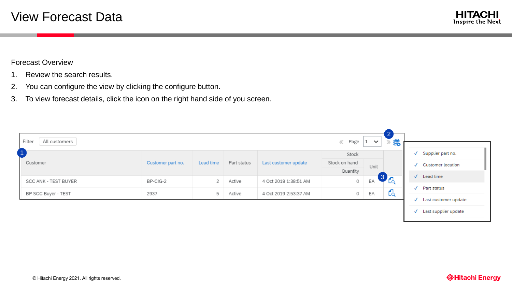

#### <span id="page-9-0"></span>Forecast Overview

- 1. Review the search results.
- 2. You can configure the view by clicking the configure button.
- 3. To view forecast details, click the icon on the right hand side of you screen.

| Filter<br>All customers |                   |           |             |                       | $\langle\langle$ Page $ 1 \times$ |      | 職<br>The Corporation<br>33 |              |                                |
|-------------------------|-------------------|-----------|-------------|-----------------------|-----------------------------------|------|----------------------------|--------------|--------------------------------|
|                         | Customer part no. |           | Part status | Last customer update  | Stock                             |      |                            | J            | Supplier part no.              |
| Customer                |                   | Lead time |             |                       | Stock on hand                     | Unit |                            |              | <b>Customer location</b>       |
|                         |                   |           |             |                       | Quantity                          |      |                            |              |                                |
| SCC ANK - TEST BUYER    | BP-CIG-2          | 2         | Active      | 4 Oct 2019 1:38:51 AM | 0                                 | EA   | $3\overline{6}$            |              | $\sqrt{\phantom{a}}$ Lead time |
|                         |                   |           |             |                       |                                   |      | ◢                          | $\checkmark$ | Part status                    |
| BP SCC Buyer - TEST     | 2937              | 5         | Active      | 4 Oct 2019 2:53:37 AM | 0                                 | EA   | Eą                         | √            | Last customer update           |
|                         |                   |           |             |                       |                                   |      |                            |              |                                |
|                         |                   |           |             |                       |                                   |      |                            |              | √ Last supplier update         |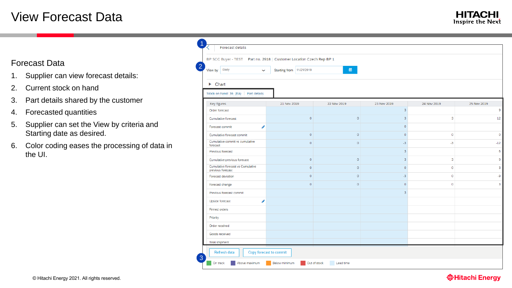# <span id="page-10-0"></span>View Forecast Data

### Forecast Data

- 1. Supplier can view forecast details:
- 2. Current stock on hand
- 3. Part details shared by the customer
- 4. Forecasted quantities
- 5. Supplier can set the View by criteria and Starting date as desired.
- 6. Color coding eases the processing of data in the UI.

|                                                        | BP SCC Buyer - TEST    Part no. 2918   Customer Location Czech Rep BP 1 |                     |                |             |             |
|--------------------------------------------------------|-------------------------------------------------------------------------|---------------------|----------------|-------------|-------------|
| View by Daily<br>$\overline{\phantom{a}}$              | Starting from 11/21/2019                                                | 簡                   |                |             |             |
| $\blacktriangleright$ Chart                            |                                                                         |                     |                |             |             |
| Stock on hand: 36 (EA)<br>Part details                 |                                                                         |                     |                |             |             |
| Key figures                                            | 21 Nov 2019                                                             | 22 Nov 2019         | 23 Nov 2019    | 24 Nov 2019 | 25 Nov 2019 |
| Order forecast                                         |                                                                         |                     | 3              |             |             |
| Cumulative forecast                                    | $\circ$                                                                 | $\mathsf{O}\xspace$ | 3              | 3           |             |
| ℐ<br>Forecast commit                                   |                                                                         |                     | $\circ$        |             |             |
| Cumulative forecast commit                             | $\circ$                                                                 | $\mathsf{O}\xspace$ | $\circ$        | $\circ$     |             |
| Cumulative commit vs cumulative<br>forecast            | $\circ$                                                                 | $\circ$             | $-3$           | $-3$        |             |
| Previous forecast                                      |                                                                         |                     | 3              |             |             |
| Cumulative previous forecast                           | $\mathbf 0$                                                             | $\mathsf{O}\xspace$ | $\overline{3}$ | 3           |             |
| Cumulative forecast vs Cumulative<br>previous forecast | $\circ$                                                                 | $\circ$             | $\circ$        | $\circ$     |             |
| Forecast deviation                                     | $\mathbf{0}$                                                            | $\circ$             | $-3$           | $\mathbf 0$ |             |
| Forecast change                                        | $\circ$                                                                 | $\mathsf{O}\xspace$ | $\circ$        | $\mathbf 0$ |             |
| Previous forecast commit                               |                                                                         |                     | 3              |             |             |
| Í<br>Upside forecast                                   |                                                                         |                     |                |             |             |
| <b>Firmed orders</b>                                   |                                                                         |                     |                |             |             |
| Priority                                               |                                                                         |                     |                |             |             |
| Order received                                         |                                                                         |                     |                |             |             |
| Goods received                                         |                                                                         |                     |                |             |             |
| <b>Total shipment</b>                                  |                                                                         |                     |                |             |             |

#### **@Hitachi Energy**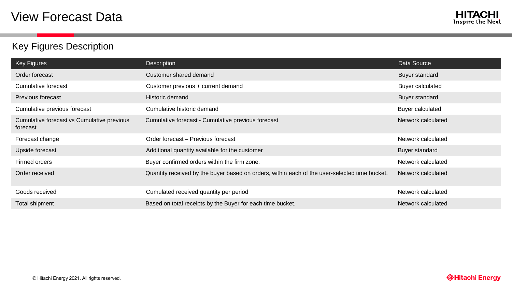# <span id="page-11-0"></span>Key Figures Description

| Key Figures                                            | Description                                                                                   | Data Source             |
|--------------------------------------------------------|-----------------------------------------------------------------------------------------------|-------------------------|
| Order forecast                                         | Customer shared demand                                                                        | Buyer standard          |
| Cumulative forecast                                    | Customer previous + current demand                                                            | <b>Buyer calculated</b> |
| <b>Previous forecast</b>                               | Historic demand                                                                               | <b>Buyer standard</b>   |
| Cumulative previous forecast                           | Cumulative historic demand                                                                    | Buyer calculated        |
| Cumulative forecast vs Cumulative previous<br>forecast | Cumulative forecast - Cumulative previous forecast                                            | Network calculated      |
| Forecast change                                        | Order forecast - Previous forecast                                                            | Network calculated      |
| Upside forecast                                        | Additional quantity available for the customer                                                | Buyer standard          |
| Firmed orders                                          | Buyer confirmed orders within the firm zone.                                                  | Network calculated      |
|                                                        |                                                                                               |                         |
| Order received                                         | Quantity received by the buyer based on orders, within each of the user-selected time bucket. | Network calculated      |
| Goods received                                         | Cumulated received quantity per period                                                        | Network calculated      |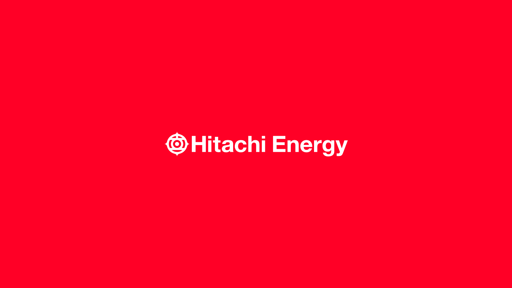